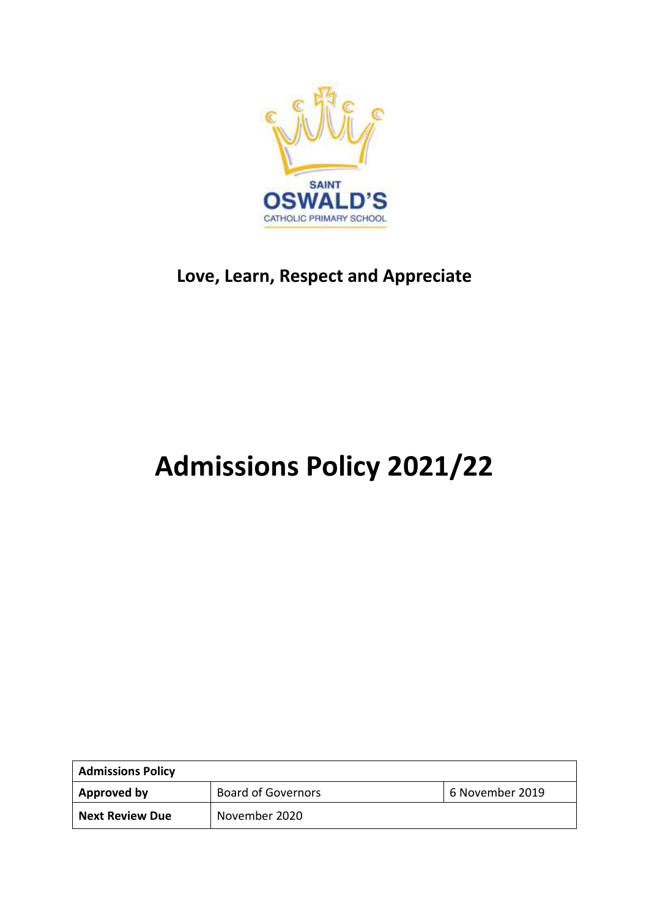

## **Love, Learn, Respect and Appreciate**

## **Admissions Policy 2021/22**

| <b>Admissions Policy</b> |                           |                 |
|--------------------------|---------------------------|-----------------|
| Approved by              | <b>Board of Governors</b> | 6 November 2019 |
| <b>Next Review Due</b>   | November 2020             |                 |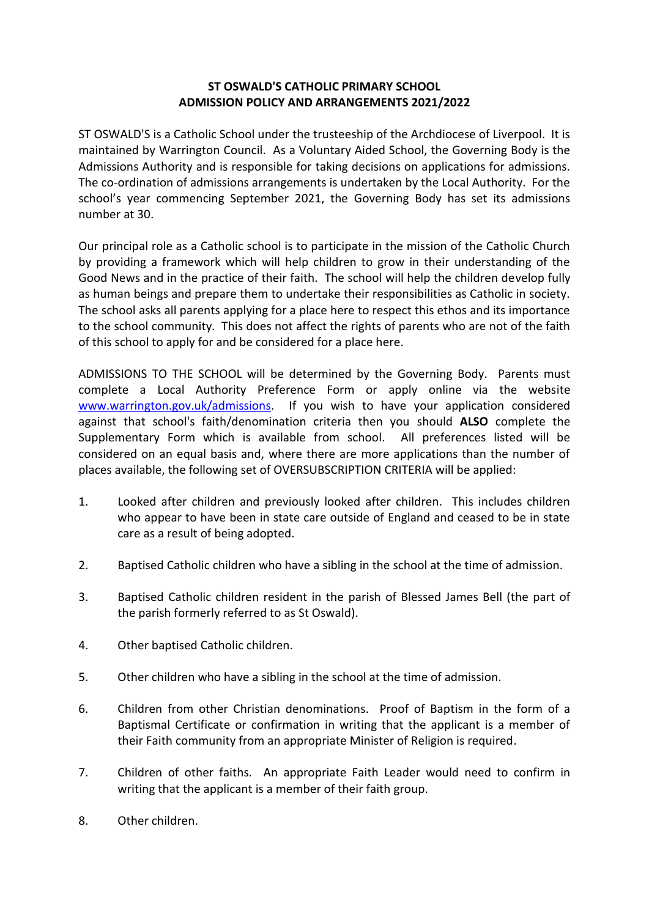## **ST OSWALD'S CATHOLIC PRIMARY SCHOOL ADMISSION POLICY AND ARRANGEMENTS 2021/2022**

ST OSWALD'S is a Catholic School under the trusteeship of the Archdiocese of Liverpool. It is maintained by Warrington Council. As a Voluntary Aided School, the Governing Body is the Admissions Authority and is responsible for taking decisions on applications for admissions. The co-ordination of admissions arrangements is undertaken by the Local Authority. For the school's year commencing September 2021, the Governing Body has set its admissions number at 30.

Our principal role as a Catholic school is to participate in the mission of the Catholic Church by providing a framework which will help children to grow in their understanding of the Good News and in the practice of their faith. The school will help the children develop fully as human beings and prepare them to undertake their responsibilities as Catholic in society. The school asks all parents applying for a place here to respect this ethos and its importance to the school community. This does not affect the rights of parents who are not of the faith of this school to apply for and be considered for a place here.

ADMISSIONS TO THE SCHOOL will be determined by the Governing Body. Parents must complete a Local Authority Preference Form or apply online via the website [www.warrington.gov.uk/admissions.](http://www.warrington.gov.uk/admissions) If you wish to have your application considered against that school's faith/denomination criteria then you should **ALSO** complete the Supplementary Form which is available from school. All preferences listed will be considered on an equal basis and, where there are more applications than the number of places available, the following set of OVERSUBSCRIPTION CRITERIA will be applied:

- 1. Looked after children and previously looked after children. This includes children who appear to have been in state care outside of England and ceased to be in state care as a result of being adopted.
- 2. Baptised Catholic children who have a sibling in the school at the time of admission.
- 3. Baptised Catholic children resident in the parish of Blessed James Bell (the part of the parish formerly referred to as St Oswald).
- 4. Other baptised Catholic children.
- 5. Other children who have a sibling in the school at the time of admission.
- 6. Children from other Christian denominations. Proof of Baptism in the form of a Baptismal Certificate or confirmation in writing that the applicant is a member of their Faith community from an appropriate Minister of Religion is required.
- 7. Children of other faiths. An appropriate Faith Leader would need to confirm in writing that the applicant is a member of their faith group.
- 8. Other children.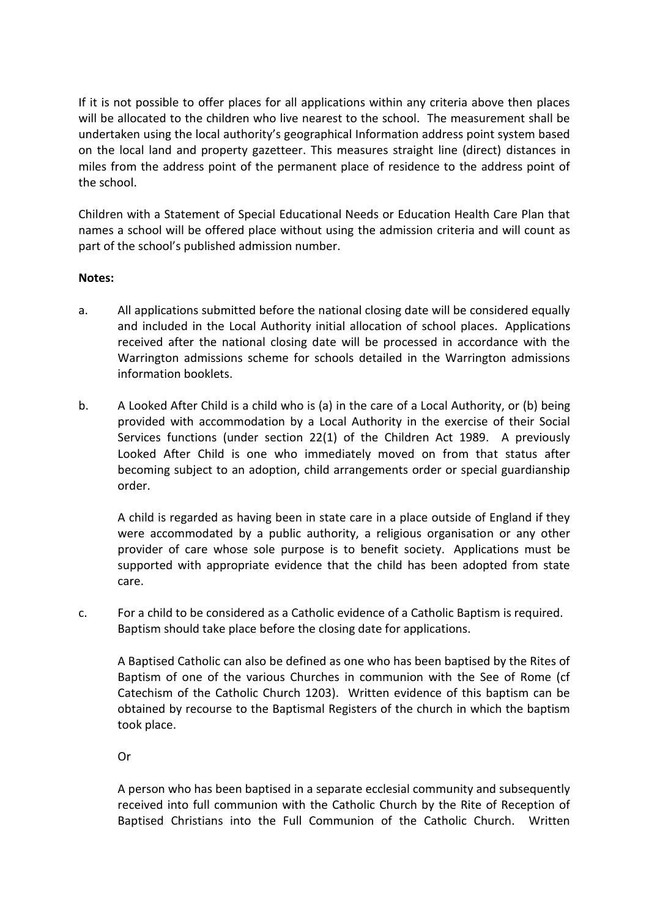If it is not possible to offer places for all applications within any criteria above then places will be allocated to the children who live nearest to the school. The measurement shall be undertaken using the local authority's geographical Information address point system based on the local land and property gazetteer. This measures straight line (direct) distances in miles from the address point of the permanent place of residence to the address point of the school.

Children with a Statement of Special Educational Needs or Education Health Care Plan that names a school will be offered place without using the admission criteria and will count as part of the school's published admission number.

## **Notes:**

- a. All applications submitted before the national closing date will be considered equally and included in the Local Authority initial allocation of school places. Applications received after the national closing date will be processed in accordance with the Warrington admissions scheme for schools detailed in the Warrington admissions information booklets.
- b. A Looked After Child is a child who is (a) in the care of a Local Authority, or (b) being provided with accommodation by a Local Authority in the exercise of their Social Services functions (under section 22(1) of the Children Act 1989. A previously Looked After Child is one who immediately moved on from that status after becoming subject to an adoption, child arrangements order or special guardianship order.

A child is regarded as having been in state care in a place outside of England if they were accommodated by a public authority, a religious organisation or any other provider of care whose sole purpose is to benefit society. Applications must be supported with appropriate evidence that the child has been adopted from state care.

c. For a child to be considered as a Catholic evidence of a Catholic Baptism is required. Baptism should take place before the closing date for applications.

A Baptised Catholic can also be defined as one who has been baptised by the Rites of Baptism of one of the various Churches in communion with the See of Rome (cf Catechism of the Catholic Church 1203). Written evidence of this baptism can be obtained by recourse to the Baptismal Registers of the church in which the baptism took place.

Or

A person who has been baptised in a separate ecclesial community and subsequently received into full communion with the Catholic Church by the Rite of Reception of Baptised Christians into the Full Communion of the Catholic Church. Written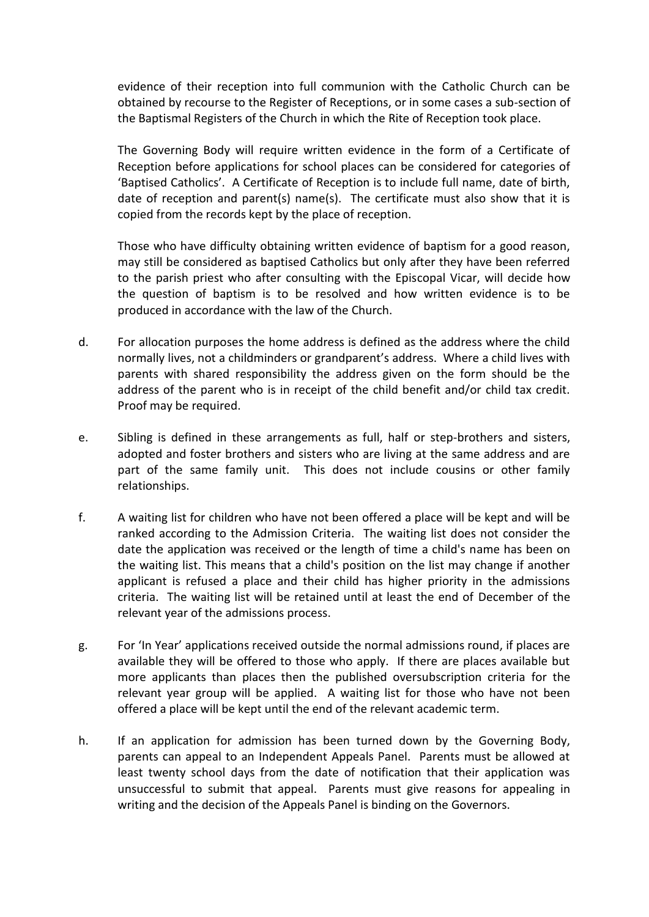evidence of their reception into full communion with the Catholic Church can be obtained by recourse to the Register of Receptions, or in some cases a sub-section of the Baptismal Registers of the Church in which the Rite of Reception took place.

The Governing Body will require written evidence in the form of a Certificate of Reception before applications for school places can be considered for categories of 'Baptised Catholics'. A Certificate of Reception is to include full name, date of birth, date of reception and parent(s) name(s). The certificate must also show that it is copied from the records kept by the place of reception.

Those who have difficulty obtaining written evidence of baptism for a good reason, may still be considered as baptised Catholics but only after they have been referred to the parish priest who after consulting with the Episcopal Vicar, will decide how the question of baptism is to be resolved and how written evidence is to be produced in accordance with the law of the Church.

- d. For allocation purposes the home address is defined as the address where the child normally lives, not a childminders or grandparent's address. Where a child lives with parents with shared responsibility the address given on the form should be the address of the parent who is in receipt of the child benefit and/or child tax credit. Proof may be required.
- e. Sibling is defined in these arrangements as full, half or step-brothers and sisters, adopted and foster brothers and sisters who are living at the same address and are part of the same family unit. This does not include cousins or other family relationships.
- f. A waiting list for children who have not been offered a place will be kept and will be ranked according to the Admission Criteria. The waiting list does not consider the date the application was received or the length of time a child's name has been on the waiting list. This means that a child's position on the list may change if another applicant is refused a place and their child has higher priority in the admissions criteria. The waiting list will be retained until at least the end of December of the relevant year of the admissions process.
- g. For 'In Year' applications received outside the normal admissions round, if places are available they will be offered to those who apply. If there are places available but more applicants than places then the published oversubscription criteria for the relevant year group will be applied. A waiting list for those who have not been offered a place will be kept until the end of the relevant academic term.
- h. If an application for admission has been turned down by the Governing Body, parents can appeal to an Independent Appeals Panel. Parents must be allowed at least twenty school days from the date of notification that their application was unsuccessful to submit that appeal. Parents must give reasons for appealing in writing and the decision of the Appeals Panel is binding on the Governors.